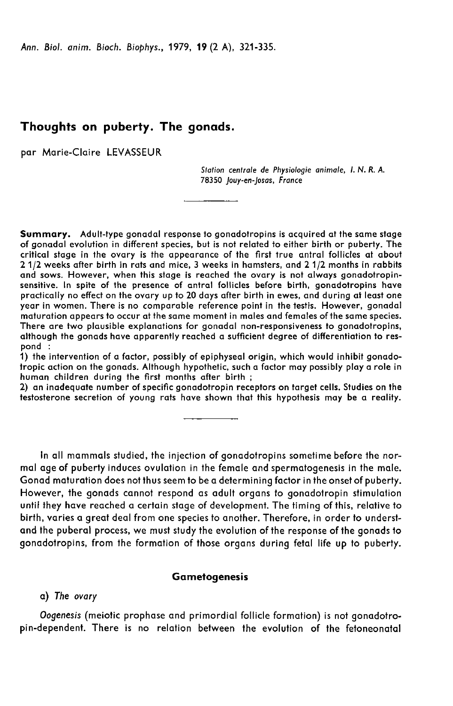Ann. Biol. anim. Bioch. Biophys., 1979, 19 (2 A), 321-335.

# Thoughts on puberty. The gonads.

par Marie-Claire LEVASSEUR

Station centrale de Physiologie animale, 1. N. R. A. 78350 Jouy-en-Josas, France

Summary. Adult-type gonadal response to gonadotropins is acquired at the same stage of gonadal evolution in different species, but is not related to either birth or puberty. The critical stage in the ovary is the appearance of the first true antral follicles at about 2 1/2 weeks after birth in rats and mice, 3 weeks in hamsters, and 2 1/2 months in rabbits and sows. However, when this stage is reached the ovary is not always gonadotropinsensitive. In spite of the presence of antral follicles before birth, gonadotropins have practically no effect on the ovary up to 20 days after birth in ewes, and during at least one year in women. There is no comparable reference point in the testis. However, gonadal maturation appears to occur at the same moment in males and females of the same species. There are two plausible explanations for gonadal non-responsiveness to gonadotropins, although the gonads have apparently reached a sufficient degree of differentiation to respond :

1) the intervention of a factor, possibly of epiphyseal origin, which would inhibit gonadotropic action on the gonads. Although hypothetic, such a factor may possibly play a role in human children during the first months after birth ;

2) an inadequate number of specific gonadotropin receptors on target cells. Studies on the testosterone secretion of young rats have shown that this hypothesis may be a reality.

In all mammals studied, the injection of gonadotropins sometime before the normal age of puberty induces ovulation in the female and spermatogenesis in the male. Gonad maturation does not thus seem to be a determining factor in the onset of puberty. However, the gonads cannot respond as adult organs to gonadotropin stimulation until they have reached a certain stage of development. The timing of this, relative to birth, varies a great deal from one species to another. Therefore, in order to understand the puberal process, we must study the evolution of the response of the gonads to gonadotropins, from the formation of those organs during fetal life up to puberty.

## Gametogenesis

#### a) The ovary

Oogenesis (meiotic prophase and primordial follicle formation) is not gonadotropin-dependent. There is no relation between the evolution of the fetoneonatal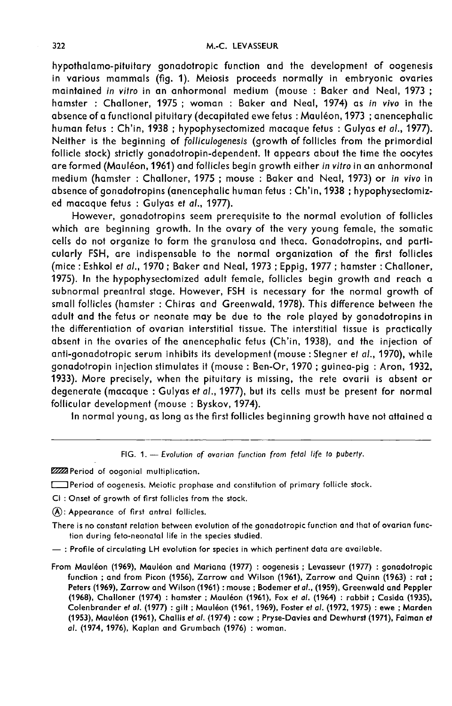hypothalamo-pituitary gonadotropic function and the development of oogenesis in various mammals (fig. 1). Meiosis proceeds normally in embryonic ovaries maintained in vitro in an anhormonal medium (mouse: Baker and Neal, 1973; hamster: Challoner, 1975; woman: Baker and Neal, 1974) as in vivo in the absence of a functional pituitary (decapitated ewe fetus: Mauléon, 1973; anencephalic human fetus: Ch'in, 1938; hypophysectomized macaque fetus: Gulyas et al., 1977). Neither is the beginning of folliculogenesis (growth of follicles from the primordial follicle stock) strictly gonadotropin-dependent. It appears about the time the oocytes are formed (Mauléon, 1961) and follicles begin growth either in vitro in an anhormonal medium (hamster: Challoner, 1975; mouse: Baker and Neal, 1973) or in vivo in absence of gonadotropins (anencephalic human fetus: Ch'in, 1938; hypophysectomized macaque fetus : Gulyas et al., 1977).

However, gonadotropins seem prerequisite to the normal evolution of follicles which are beginning growth. In the ovary of the very young female, the somatic cells do not organize to form the granulosa and theca. Gonadotropins, and particularly FSH, are indispensable to the normal organization of the first follicles (mice: Eshkol et al., 1970; Baker and Neal, 1973; Eppig, 1977; hamster: Challoner, 1975). In the hypophysectomized adult female, follicles begin growth and reach a subnormal preantral stage. However, FSH is necessary for the normal growth of small follicles (hamster: Chiras and Greenwald, 1978). This difference between the adult and the fetus or neonate may be due to the role played by gonadotropins in the differentiation of ovarian interstitial tissue. The interstitial tissue is practically absent in the ovaries of the anencephalic fetus (Ch'in, 1938), and the injection of anti-gonadotropic serum inhibits its development (mouse: Stegner et al., 1970), while gonadotropin injection stimulates it (mouse: Ben-Or, 1970; quinea-piq: Aron, 1932, 1933). More precisely, when the pituitary is missing, the rete ovarii is absent or degenerate (macaque: Gulyas et al., 1977), but its cells must be present for normal follicular development (mouse: Byskov, 1974).

In normal young, as long as the first follicles beginning growth have not attained a

FIG. 1. - Evolution of ovarian function from fetal life to puberty.

2222 Period of oogonial multiplication.

- [ Period of oogenesis. Meiotic prophase and constitution of primary follicle stock.
- CI: Onset of growth of first follicles from the stock.
- $(\widehat{A})$ : Appearance of first antral follicles.
- There is no constant relation between evolution of the gonadotropic function and that of ovarian function during feto-neonatal life in the species studied.
- : Profile of circulating LH evolution for species in which pertinent data are available.
- From Mauléon (1969), Mauléon and Mariana (1977) : oogenesis ; Levasseur (1977) : gonadotropic function; and from Picon (1956), Zarrow and Wilson (1961), Zarrow and Quinn (1963): rat; Peters (1969), Zarrow and Wilson (1961) : mouse ; Bodemer et al., (1959), Greenwald and Peppler (1968), Challoner (1974) : hamster ; Mauléon (1961), Fox et al. (1964) : rabbit ; Casida (1935), Colenbrander et al. (1977) : gilt ; Mauléon (1961, 1969), Foster et al. (1972, 1975) : ewe ; Marden (1953), Mauléon (1961), Challis et al. (1974) : cow ; Pryse-Davies and Dewhurst (1971), Faiman et al. (1974, 1976), Kaplan and Grumbach (1976) : woman.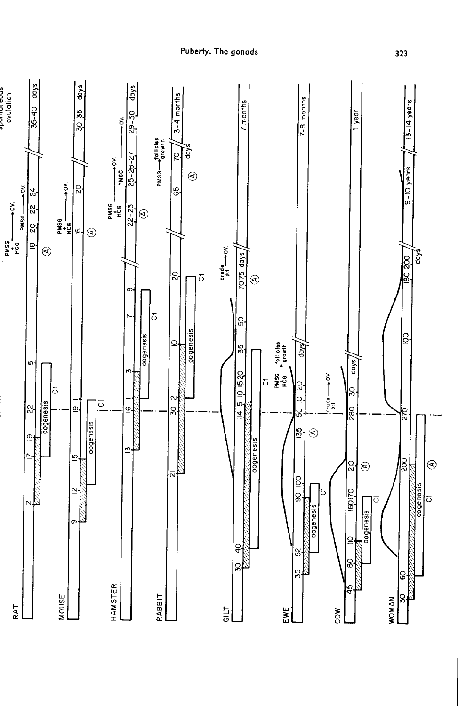

Puberty. The gonads

323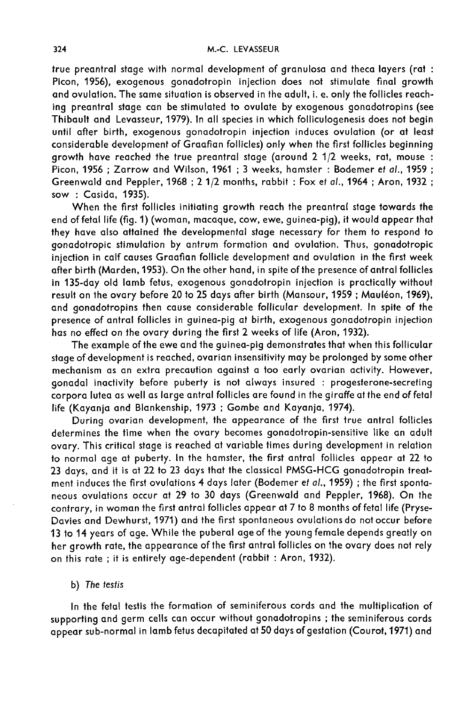true preantral stage with normal development of granulosa and theca layers (rat : Picon, 1956), exogenous gonadotropin injection does not stimulate final growth and ovulation. The same situation is observed in the adult, i. e. only the follicles reaching preantral stage can be stimulated to ovulate by exogenous gonadotropins (see Thibault and Levasseur, 1979). In all species in which folliculogenesis does not begin until after birth, exogenous gonadotropin injection induces ovulation (or at least considerable development of Graafian follicles) only when the first follicles beginning growth have reached the true preantral stage (around 2 1/2 weeks, rat, mouse : Picon, 1956 ; Zarrow and Wilson, 1961 ; 3 weeks, hamster : Bodemer et al., 1959 ; Greenwald and Peppler, 1968 ; 2 1/2 months, rabbit : Fox et al., 1964 ; Aron, 1932 ; sow : Casida, 1935).

When the first follicles initiating growth reach the preantral stage towards the end of fetal life (fig. 1) (woman, macaque, cow, ewe, guinea-pig), it would appear that they have also attained the developmental stage necessary for them to respond to gonadotropic stimulation by antrum formation and ovulation. Thus, gonadotropic injection in calf causes Graafian follicle development and ovulation in the first week after birth (Marden, 1953). On the other hand, in spite of the presence of antral follicles in 135-day old lamb fetus, exogenous gonadotropin injection is practically without result on the ovary before 20 to 25 days after birth (Mansour, 1959; Mauléon, 1969), and gonadotropins then cause considerable follicular development. In spite of the presence of antral follicles in guinea-pig at birth, exogenous gonadotropin injection has no effect on the ovary during the first 2 weeks of life (Aron, 1932).

The example of the ewe and the guinea-pig demonstrates that when this follicular stage of development is reached, ovarian insensitivity may be prolonged by some other mechanism as an extra precaution against a too early ovarian activity. However, gonadal inactivity before puberty is not always insured : progesterone-secreting corpora lutea as well as large antral follicles are found in the giraffe at the end of fetal life (Kayanja and Blankenship, 1973 ; Gombe and Kayanja, 1974).

During ovarian development, the appearance of the first true antral follicles determines the time when the ovary becomes gonadotropin-sensitive like an adult ovary. This critical stage is reached at variable times during development in relation to normal age at puberty. In the hamster, the first antral follicles appear at 22 to 23 days, and it is at 22 to 23 days that the classical PMSG-HCG gonadotropin treatment induces the first ovulations 4 days later (Bodemer et al., 1959) ; the first sponta neous ovulations occur at 29 to 30 days (Greenwald and Peppler, 1968). On the contrary, in woman the first antral follicles appear at 7 to 8 months of fetal life (Pryse-Davies and Dewhurst, 1971) and the first spontaneous ovulations do not occur before 13 to 14 years of age. While the puberal age of the young female depends greatly on her growth rate, the appearance of the first antral follicles on the ovary does not rely on this rate ; it is entirely age-dependent (rabbit : Aron, 1932).

# b) The testis

In the fetal testis the formation of seminiferous cords and the multiplication of supporting and germ cells can occur without gonadotropins ; the seminiferous cords appear sub-normal in lamb fetus decapitated at 50 days of gestation (Courot, 1971) and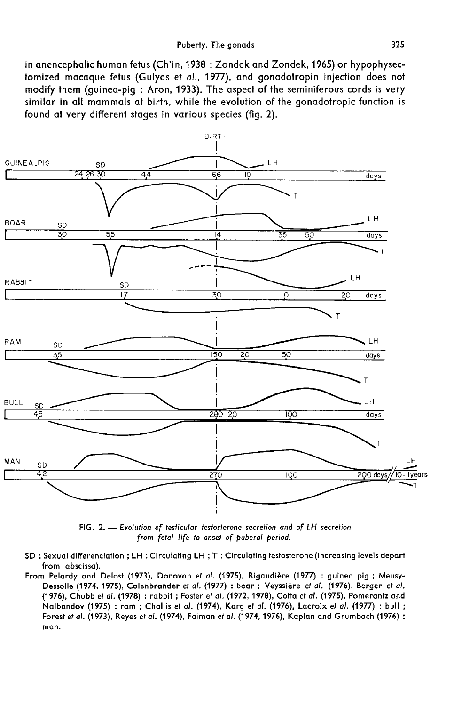in anencephalic human fetus (Ch'in, 1938 ; Zondek and Zondek, 1965) or hypophysectomized macaque fetus (Gulyas et al., 1977), and gonadotropin injection does not modify them (quinea-piq: Aron, 1933). The aspect of the seminiferous cords is very similar in all mammals at birth, while the evolution of the gonadotropic function is found at very different stages in various species (fig. 2).



FIG. 2. - Evolution of testicular testosterone secretion and of LH secretion from fetal life to onset of puberal period.

- SD : Sexual differenciation ; LH : Circulating LH ; T : Circulating testosterone (increasing levels depart from abscissa).
- From Pelardy and Delost (1973), Donovan et al. (1975), Rigaudière (1977) : guinea pig ; Meusy-Dessolle (1974, 1975), Colenbrander et al. (1977) : boar ; Veyssière et al. (1976), Berger et al. (1976), Chubb et al. (1978) : rabbit ; Foster et al. (1972, 1978), Cotta et al. (1975), Pomerantz and Nalbandov (1975) : ram ; Challis et al. (1974), Karg et al. (1976), Lacroix et al. (1977) : bull ; Forest et al. (1973), Reyes et al. (1974), Faiman et al. (1974, 1976), Kaplan and Grumbach (1976) : man.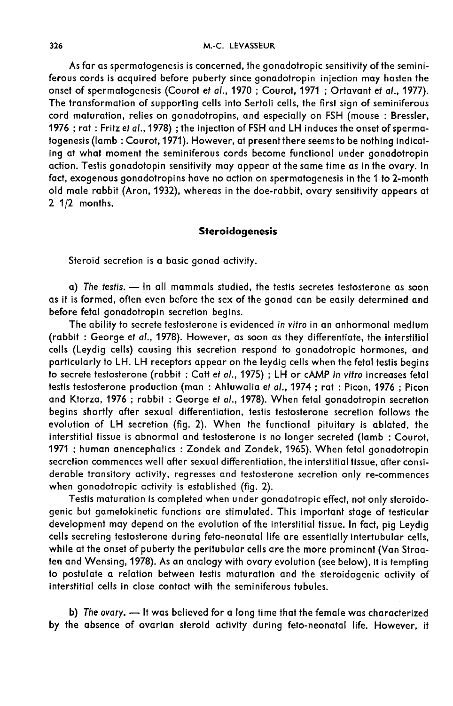As far as spermatogenesis is concerned, the gonadotropic sensitivity of the seminiferous cords is acquired before puberty since gonadotropin injection may hasten the onset of spermatogenesis (Courot et al., 1970 ; Courot, 1971 ; Ortavant et al., 1977). The transformation of supporting cells into Sertoli cells, the first sign of seminiferous cord maturation, relies on gonadotropins, and especially on FSH (mouse : Bressler, 1976 ; rat : Fritz et al.,1978) ; the injection of FSH and LH induces the onset of spermatogenesis (lamb : Courot,1971). However, at present there seems to be nothing indicating at what moment the seminiferous cords become functional under gonadotropin action. Testis gonadotopin sensitivity may appear at the same time as in the ovary. In fact, exogenous gonadotropins have no action on spermatogenesis in the 1 to 2-month old male rabbit (Aron, 1932), whereas in the doe-rabbit, ovary sensitivity appears at 2 1/2 months.

# Steroidogenesis

Steroid secretion is a basic gonad activity.

 $a)$  The testis.  $-$  In all mammals studied, the testis secretes testosterone as soon as it is formed, often even before the sex of the gonad can be easily determined and before fetal gonadotropin secretion begins.

The ability to secrete testosterone is evidenced in vitro in an anhormonal medium (rabbit : George et al., 1978). However, as soon as they differentiate, the interstitial cells (Leydig cells) causing this secretion respond to gonadotropic hormones, and particularly to LH. LH receptors appear on the leydig cells when the fetal testis begins to secrete testosterone (rabbit : Catt et al., 1975) ; LH or cAMP in vitro increases fetal testis testosterone production (man : Ahluwalia et al., 1974 ; rat : Picon, 1976 ; Picon and Ktorza, 1976 ; rabbit : George et al., 1978). When fetal gonadotropin secretion begins shortly after sexual differentiation, testis testosterone secretion follows the evolution of LH secretion (fig. 2). When the functional pituitary is ablated, the interstitial tissue is abnormal and testosterone is no longer secreted (lamb : Courot, 1971 ; human anencephalics : Zondek and Zondek, 1965). When fetal gonadotropin secretion commences well after sexual differentiation, the interstitial tissue, after considerable transitory activity, regresses and testosterone secretion only re-commences when gonadotropic activity is established (fig. 2).

Testis maturation is completed when under gonadotropic effect, not only steroidogenic but gametokinetic functions are stimulated. This important stage of testicular development may depend on the evolution of the interstitial tissue. In fact, pig Leydig cells secreting testosterone during feto-neonatal life are essentially intertubular cells, while at the onset of puberty the peritubular cells are the more prominent (Van Straaten and Wensing, 1978). As an analogy with ovary evolution (see below), it is tempting to postulate a relation between testis maturation and the steroidogenic activity of interstitial cells in close contact with the seminiferous tubules.

b) The ovary. - It was believed for a long time that the female was characterized by the absence of ovarian steroid activity during feto-neonatal life. However, it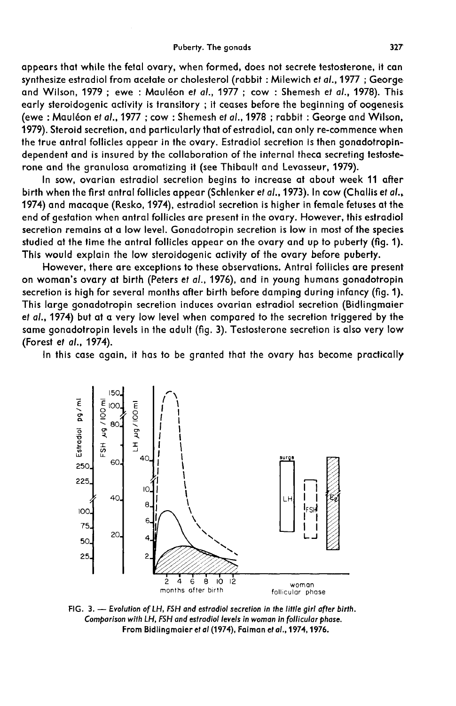appears that while the fetal ovary, when formed, does not secrete testosterone, it can synthesize estradiol from acetate or cholesterol (rabbit : Milewich et al., 1977 ; George and Wilson, 1979; ewe: Mauléon et al., 1977; cow: Shemesh et al., 1978). This early steroidogenic activity is transitory ; it ceases before the beginning of oogenesis. (ewe: Mauléon et al., 1977; cow: Shemesh et al., 1978; rabbit: George and Wilson, 1979). Steroid secretion, and particularly that of estradiol, can only re-commence when the true antral follicles appear in the ovary. Estradiol secretion is then gonadotropindependent and is insured by the collaboration of the internal theca secreting testosterone and the granulosa aromatizing it (see Thibault and Levasseur, 1979).

In sow, ovarian estradiol secretion begins to increase at about week 11 after birth when the first antral follicles appear (Schlenker et al., 1973). In cow (Challis et al., 1974) and macaque (Resko, 1974), estradiol secretion is higher in female fetuses at the end of gestation when antral follicles are present in the ovary. However, this estradiol secretion remains at a low level. Gonadotropin secretion is low in most of the species studied at the time the antral follicles appear on the ovary and up to puberty (fig. 1). This would explain the low steroidogenic activity of the ovary before puberty.

However, there are exceptions to these observations. Antral follicles are present on woman's ovary at birth (Peters et al., 1976), and in young humans gonadotropin secretion is high for several months after birth before damping during infancy (fig. 1). This large gonadotropin secretion induces ovarian estradiol secretion (Bidlingmaier et al., 1974) but at a very low level when compared to the secretion triggered by the same gonadotropin levels in the adult (fig. 3). Testosterone secretion is also very low (Forest et al., 1974).

In this case again, it has to be granted that the ovary has become practically



FIG. 3. - Evolution of LH, FSH and estradiol secretion in the little girl after birth. Comparison with LH, FSH and estradiol levels in woman in follicular phase. From Bidlingmaier et al (1974), Faiman et al., 1974, 1976.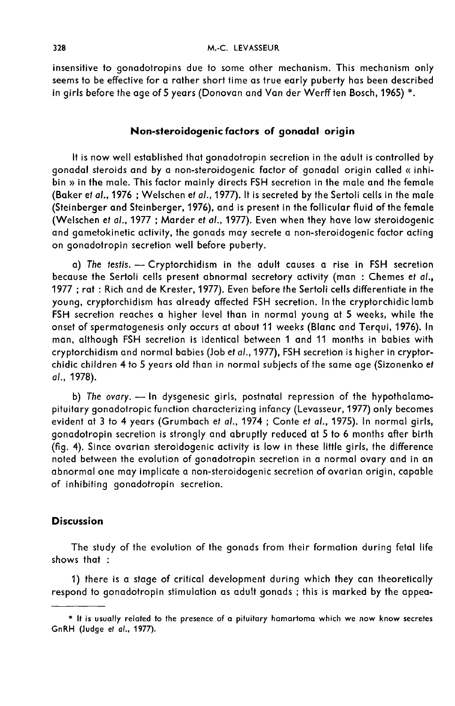insensitive to gonadotropins due to some other mechanism. This mechanism only seems to be effective for a rather short time as true early puberty has been described in girls before the age of 5 years (Donovan and Van der Werff ten Bosch, 1965) \*.

# Non-steroidogenic factors of gonadal origin

It is now well established that gonadotropin secretion in the adult is controlled by gonadal steroids and by a non-steroidogenic factor of gonadal origin called « inhibin » in the male. This factor mainly directs FSH secretion in the male and the female (Baker et al., 1976 ; Welschen et al., 1977). It is secreted by the Sertoli cells in the male (Steinberger and Steinberger, 1976), and is present in the follicular fluid of the female (Welschen et at., 1977 ; Marder et al., 1977). Even when they have low steroidogenic and gametokinetic activity, the gonads may secrete a non-steroidogenic factor acting on gonadotropin secretion well before puberty.

a) The testis. - Cryptorchidism in the adult causes a rise in FSH secretion because the Sertoli cells present abnormal secretory activity (man : Chemes et al., 1977 ; rat : Rich and de Krester, 1977). Even before the Sertoli cells differentiate in the young, cryptorchidism has already affected FSH secretion. In the cryptorchidic lamb FSH secretion reaches a higher level than in normal young at 5 weeks, while the onset of spermatogenesis only occurs at about 11 weeks (Blanc and Terqui, 1976). In man, although FSH secretion is identical between 1 and 11 months in babies with cryptorchidism and normal babies (Job et al., 1977), FSH secretion is higher in cryptorchidic children 4 to 5 years old than in normal subjects of the same age (Sizonenko et al., 1978).

b) The ovary. - In dysgenesic girls, postnatal repression of the hypothalamopituitary gonadotropic function characterizing infancy (Levasseur, 1977) only becomes evident at 3 to 4 years (Grumbach et al., 1974 ; Conte et al., 1975). In normal girls, gonadotropin secretion is strongly and abruptly reduced at 5 to 6 months after birth (fig. 4). Since ovarian steroidogenic activity is low in these little girls, the difference noted between the evolution of gonadotropin secretion in a normal ovary and in an abnormal one may implicate a non-steroidogenic secretion of ovarian origin, capable of inhibiting gonadotropin secretion.

### **Discussion**

The study of the evolution of the gonads from their formation during fetal life shows that :

1) there is a stage of critical development during which they can theoretically respond to gonadotropin stimulation as adult gonads ; this is marked by the appea-

<sup>\*</sup> It is usually related to the presence of a pituitary hamartoma which we now know secretes GnRH (Judge et al., 1977).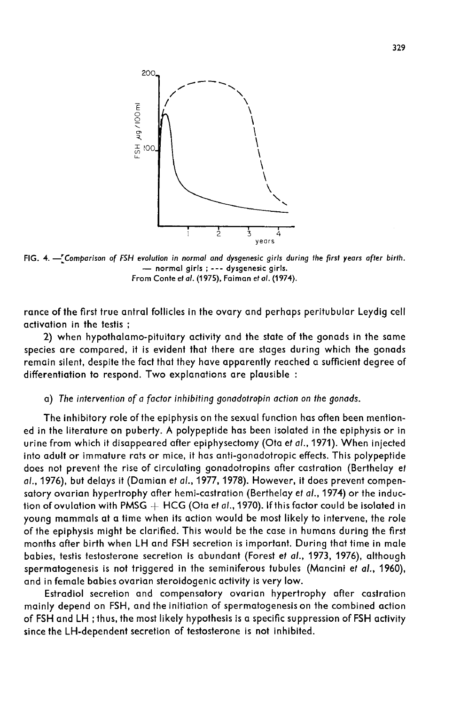

FIG. 4. - Comparison of FSH evolution in normal and dysgenesic girls during the first years after birth. - normal girls; --- dysgenesic girls. From Conte et al. (1975), Faiman et al. (1974).

rance of the first true antral follicles in the ovary and perhaps peritubular Leydig cell activation in the testis ;

2) when hypothalamo-pituitary activity and the state of the gonads in the same species are compared, it is evident that there are stages during which the gonads remain silent, despite the fact that they have apparently reached a sufficient degree of differentiation to respond. Two explanations are plausible :

### a) The intervention of a factor inhibiting gonadotropin action on the gonads.

The inhibitory role of the epiphysis on the sexual function has often been mentioned in the literature on puberty. A polypeptide has been isolated in the epiphysis or in urine from which it disappeared after epiphysectomy (Ota et al., 1971). When injected into adult or immature rats or mice, it has anti-gonadotropic effects. This polypeptide does not prevent the rise of circulating gonadotropins after castration (Berthelay et al., 1976), but delays it (Damian et al., 1977, 1978). However, it does prevent compensatory ovarian hypertrophy after hemi-castration (Berthelay et al., 1974) or the induction of ovulation with PMSG  $+$  HCG (Ota et al., 1970). If this factor could be isolated in young mammals at a time when its action would be most likely to intervene, the role of the epiphysis might be clarified. This would be the case in humans during the first months after birth when LH and FSH secretion is important. During that time in male babies, testis testosterone secretion is abundant (Forest et al., 1973, 1976), although spermatogenesis is not triggered in the seminiferous tubules (Mancini et al., 1960), and in female babies ovarian steroidogenic activity is very low.

Estradiol secretion and compensatory ovarian hypertrophy after castration mainly depend on FSH, and the initiation of spermatogenesis on the combined action of FSH and LH ; thus, the most likely hypothesis is a specific suppression of FSH activity since the LH-dependent secretion of testosterone is not inhibited.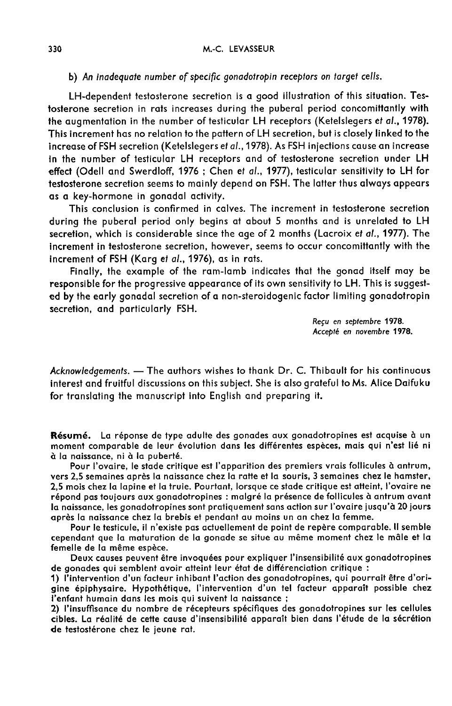## b) An inadequate number of specific gonadotropin receptors on target cells.

LH-dependent testosterone secretion is a good illustration of this situation. Testosterone secretion in rats increases during the puberal period concomittantly with the augmentation in the number of testicular LH receptors (Ketelslegers et al., 1978). This increment has no relation to the pattern of LH secretion, but is closely linked to the increase of FSH secretion (Ketelslegers et al.,1978). As FSH injections cause an increase in the number of testicular LH receptors and of testosterone secretion under LH effect (Odell and Swerdloff, 1976 ; Chen et al., 1977), testicular sensitivity to LH for testosterone secretion seems to mainly depend on FSH. The latter thus always appears as a key-hormone in gonadal activity.

This conclusion is confirmed in calves. The increment in testosterone secretion during the puberal period only begins at about 5 months and is unrelated to LH secretion, which is considerable since the age of 2 months (Lacroix et al., 1977). The increment in testosterone secretion, however, seems to occur concomittantly with the increment of FSH (Karg et al., 1976), as in rats.

Finally, the example of the ram-lamb indicates that the gonad itself may be responsible for the progressive appearance of its own sensitivity to LH. This is suggested by the early gonadal secretion of a non-steroidogenic factor limiting gonadotropin secretion, and particularly FSH.

> Reçu en septembre 1978. Accepté en novembre 1978.

Acknowledgements. - The authors wishes to thank Dr. C. Thibault for his continuous interest and fruitful discussions on this subject. She is also grateful to Ms. Alice Daifuku for translating the manuscript into English and preparing it.

Résumé. La réponse de type adulte des gonades aux gonadotropines est acquise à un moment comparable de leur évolution dans les différentes espèces, mais qui n'est lié ni à la naissance, ni à la puberté.

Pour l'ovaire, le stade critique est l'apparition des premiers vrais follicules à antrum, vers 2,5 semaines après la naissance chez la ratte et la souris, 3 semaines chez le hamster, 2,5 mois chez la lapine et la truie. Pourtant, lorsque ce stade critique est atteint, l'ovaire ne répond pas toujours aux gonadotropines : malgré la présence de follicules à antrum avant la naissance, les gonadotropines sont pratiquement sans action sur l'ovaire jusqu'à 20 jours après la naissance chez la brebis et pendant au moins un an chez la femme.

Pour le testicule, il n'existe pas actuellement de point de repère comparable. Il semble cependant que la maturation de la gonade se situe au même moment chez le mâle et la femelle de la même espèce.

Deux causes peuvent être invoquées pour expliquer l'insensibilité aux gonadotropines de gonades qui semblent avoir atteint leur état de différenciation critique :

1) l'intervention d'un facteur inhibant l'action des gonadotropines, qui pourrait être d'origine épiphysaire. Hypothétique, l'intervention d'un tel facteur apparaît possible chez l'enfant humain dans les mois qui suivent la naissance ;

2) l'insuffisance du nombre de récepteurs spécifiques des gonadotropines sur les cellules cibles. La réalité de cette cause d'insensibilité apparaît bien dans l'étude de la sécrétion de testostérone chez le jeune rat.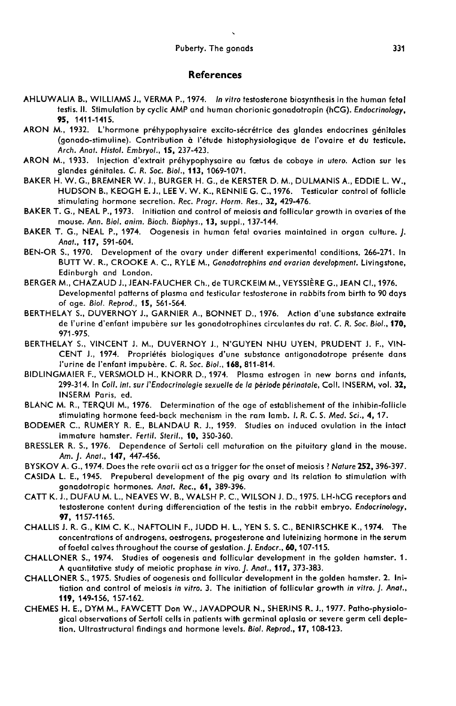#### **References**

- AHLUWALIA B., WILLIAMS J., VERMA P., 1974. In vitro testosterone biosynthesis in the human fetal testis. II. Stimulation by cyclic AMP and human chorionic gonadotropin (hCG). *Endocrinology,*<br>**95,** 1411-1415.
- ARON M., 1932. L'hormone préhypophysaire excito-sécrétrice des glandes endocrines génitales (gonado-stimuline). Contribution à l'étude histophysiologique de l'ovaire et du testicule. Arch. Anat. Histol. Embryol., 15, 237-423.
- ARON M., 1933. Injection d'extrait préhypophysaire au fœtus de cobaye in utero. Action sur les glandes g6nitales. C. R. Soc. Biol., 113, 1069-1071.
- BAKER H. W. G., BREMNER W. J., BURGER H. G., de KERSTER D. M., DULMANIS A., EDDIE L. W., HUDSON B., KEOGH E. J., LEE V. W. K., RENNIE G. C., 1976. Testicular control of follicle stimulating hormone secretion. Rec. Progr. Horm. Res., 32, 429-476.
- BAKER T. G., NEAL P., 1973. Initiation and control of meiosis and follicular growth in ovaries of the mouse. Ann. Biol. anim. Bioch. Biophys., 13, suppl., 137-144.
- BAKER T. G., NEAL P., 1974. Oogenesis in human fetal ovaries maintained in organ culture. J. Anat., 117, 591-604.
- BEN-OR S., 1970. Development of the ovary under different experimental conditions, 266-271. In BUTT W. R., CROOKE A. C., RYLE M., Gonadotrophins and ovarian development. Livingstone, Edinburgh and London.
- BERGER M., CHAZAUD J., JEAN-FAUCHER Ch., de TURCKEIM M., VEYSSIÈRE G., JEAN Cl., 1976. Developmental patterns of plasma and testicular testosterone in rabbits from birth to 90 days of age. Biol. Reprod., 15, 561-564.
- BERTHELAY S., DUVERNOY J., GARNIER A., BONNET D., 1976. Action d'une substance extraite de l'urine d'enfant impubere sur les gonadotrophines circulantes du rat. C. R. Soc. Biol., 170, 971-975.
- BERTHELAY S., VINCENT J. M., DUVERNOY J., N'GUYEN NHU UYEN, PRUDENT J. F., VIN-CENT J., 1974. Propriétés biologiques d'une substance antigonadotrope présente dans<br>l'urine de l'enfant impubère. C. R. Soc. Biol., 168, 811-814.
- BIDLINGMAIER F., VERSMOLD H., KNORR D., 1974. Plasma estrogen in new borns and infants, 299-314. In Coll. int. sur l'Endocrinologie sexuelle de la période périnatale, Coll. INSERM, vol. 32, INSERM Paris, ed.
- BLANC M. R., TERQUI M., 1976. Determination of the age of establishement of the inhibin-follicle stimulating hormone feed-back mechanism in the ram lamb. I. R. C. S. Med. Sci., 4, 17.
- BODEMER C., RUMERY R. E., BLANDAU R. J., 1959. Studies on induced ovulation in the intact immature hamster. Fertil. Steril., 10, 350-360.
- BRESSLER R. S., 1976. Dependence of Sertoli cell maturation on the pituitary gland in the mouse. Am. J. Anat., 147, 447-456.
- BYSKOV A. G., 1974. Does the rete ovarii act as a trigger for the onset of meiosis ? Nature 252, 396-397.
- CASIDA L. E., 1945. Prepuberal development of the pig ovary and its relation to stimulation with gonadotropic hormones. Anat. Rec., 61, 389-396.
- CATT K. J., DUFAU M. L., NEAVES W. B., WALSH P. C., WILSON J. D., 1975. LH-hCG receptors and testosterone content during differenciation of the testis in the rabbit embryo. Endocrinology, 97, 1157-1165.
- CHALLIS J. R. G., KIM C. K., NAFTOLIN F., JUDD H. L., YEN S. S. C., BENIRSCHKE K., 1974. The concentrations of androgens, oestrogens, progesterone and luteinizing hormone in the serum of foetal calves throughout the course of gestation. J. Endocr., 60, 107-115.
- CHALLONER S., 1974. Studies of oogenesis and follicular development in the golden hamster. 1. A quantitative study of meiotic prophase in vivo. J. Anat., 117, 373-383.
- CHALLONER S., 1975. Studies of oogenesis and follicular development in the golden hamster. 2. Initiation and control of meiosis in vitro. 3. The initiation of follicular growth in vitro. J. Anot., 119, 149-156, 157-162.
- CHEMES H. E., DYM M., FAWCETT Don W., JAVADPOUR N., SHERINS R. J., 1977. Patho-physiological observations of Sertoli cells in patients with germinal aplasia or severe germ cell depletion. Ultrastructural findings and hormone levels. Biol. Reprod., 17, 108-123.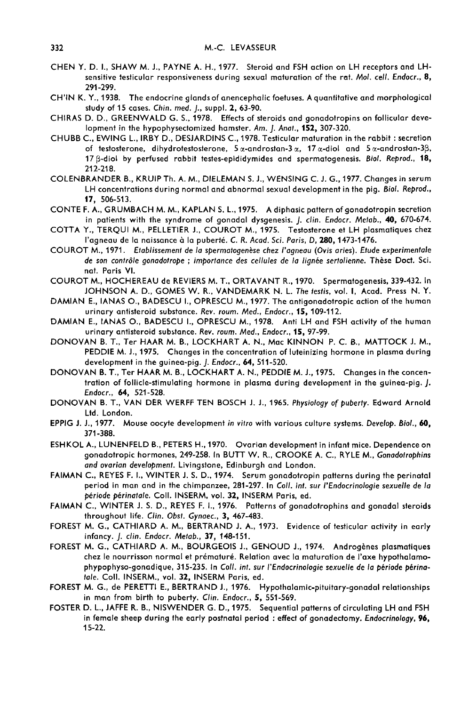- CHEN Y. D. I., SHAW M. J., PAYNE A. H., 1977. Steroid and FSH action on LH receptors and LHsensitive testicular responsiveness during sexual maturation of the rat. Mol. cell. Endocr., 8, 291-299.
- CH'IN K. Y., 1938. The endocrine glands of anencephalic foetuses. A quantitative and morphological study of 15 cases. Chin. med. J., suppl. 2, 63-90.
- CHIRAS D. D., GREENWALD G. S., 1978. Effects of steroids and gonadotropins on follicular development in the hypophysectomized hamster. Am. J. Anat., 152, 307-320.
- CHUBB C., EWING L., IRBY D., DESJARDINS C., 1978. Testicular maturation in the rabbit : secretion of testosterone, dihydrotestosterone,  $5\alpha$ -androstan-3 $\alpha$ ,  $17\alpha$ -diol and  $5\alpha$ -androstan-3 $\beta$ , 17 ß-diol by perfused rabbit testes-epididymides and spermatogenesis. Biol. Reprod., 18, 212-218.
- COLENBRANDER B., KRUIP Th. A. M., DIELEMAN S. J., WENSING C. J. G., 1977. Changes in serum LH concentrations during normal and abnormal sexual development in the pig. Biol. Reprod., 17, 506-513.
- CONTE F. A., GRUMBACH M. M., KAPLAN S. L., 1975. A diphasic pattern of gonadotropin secretion in patients with the syndrome of gonadal dysgenesis. J. clin. Endocr. Metab., 40, 670-674.
- COTTA Y., TERQUI M., PELLETIER J., COUROT M., 1975. Testosterone et LH plasmatiques chez l'agneau de la naissance à la puberté. C. R. Acad. Sci. Paris, D, 280, 1473-1476.
- COUROT M., 1971. Etablissement de la spermatogenèse chez l'agneau (Ovis aries). Etude experimentale de son contrôle gonadotrope ; importance des cellules de la lignée sertolienne. Thèse Doct. Sci. not. Paris Vi.
- COUROT M., HOCHEREAU de REVIERS M. T., ORTAVANT R., 1970. Spermatogenesis, 339-432. In JOHNSON A. D., GOMES W. R., VANDEMARK N. L. The testis, vol. 1, Acad. Press N. Y.
- DAMIAN E., IANAS O., BADESCU I., OPRESCU M., 1977. The antigonadotropic action of the human<br>urinary antisteroid substance. Rev. roum. Med., Endocr., 15, 109-112.
- DAMIAN E., IANAS O., BADESCU I., OPRESCU M., 1978. Anti LH and FSH activity of the human urinary antisteroid substance. Rev. roum. Med., Endocr., 15, 97-99.
- DONOVAN B. T., Ter HAAR M. B., LOCKHART A. N., Mac KINNON P. C. B., MATTOCK J. M., PEDDIE M. J., 1975. Changes in the concentration of luteinizing hormone in plasma during development in the guinea-pig. J. Endocr., 64, 511-520.
- DONOVAN B. T., Ter HAAR M. B., LOCKHART A. N., PEDDIE M. J., 1975. Changes in the concentration of follicle-stimulating hormone in plasma during development in the guinea-pig. J. Endocr., 64, 521-528.
- DONOVAN B. T., VAN DER WERFF TEN BOSCH J. J., 1965. Physiology of puberty. Edward Arnold Ltd. London.
- EPPIG J. J., 1977. Mouse oocyte development in vitro with various culture systems. Develop. Biol., 60, 371-388.
- ESHKOL A., LUNENFELD B., PETERS H..1970. Ovarian development in infant mice. Dependence on gonadotropic hormones, 249-258. In BUTT W. R., CROOKE A. C., RYLE M., Gonadotrophins and ovarian development. Livingstone, Edinburgh and London.
- FAIMAN C., REYES F. I., WINTER J. S. D., 1974. Serum gonadotropin patterns during the perinatal period in man and in the chimpanzee, 281-297. In Coll. int. sur l'Endocrinologie sexuelle de la période périnatale. Coll. INSERM, vol. 32, INSERM Paris, ed.
- FAIMAN C., WINTER J. S. D., REYES F. 1., 1976. Patterns of gonadotrophins and gonadal steroids throughout life. Clin. Obst. Gynaec., 3, 467-483.
- FOREST M. G., CATHIARD A. M., BERTRAND J. A., 1973. Evidence of testicular activity in early infancy. J. clin. Endocr. Metab., 37, 148-151.
- FOREST M. G., CATHIARD A. M., BOURGEOIS J., GENOUD J., 1974. Androgènes plasmatiques chez le nourrisson normal et prématuré. Relation avec la maturation de l'axe hypothalamophypophyso-gonadique, 315-235. In Coll. int. sur l'Endocrinologie sexuelle de la période périnatale. Coll. INSERM., vol. 32, INSERM Paris, ed.
- FOREST M. G., de PERETTI E., BERTRAND J., 1976. Hypothalamic-pituitary-gonadal relationships in man from birth to puberty. Clin. Endocr., 5, 551-569.
- FOSTER D. L., JAFFE R. B., NISWENDER G. D., 1975. Sequential patterns of circulating LH and FSH in female sheep during the early postnatal period : effect of gonadectomy. Endocrinology, 96, 15-22.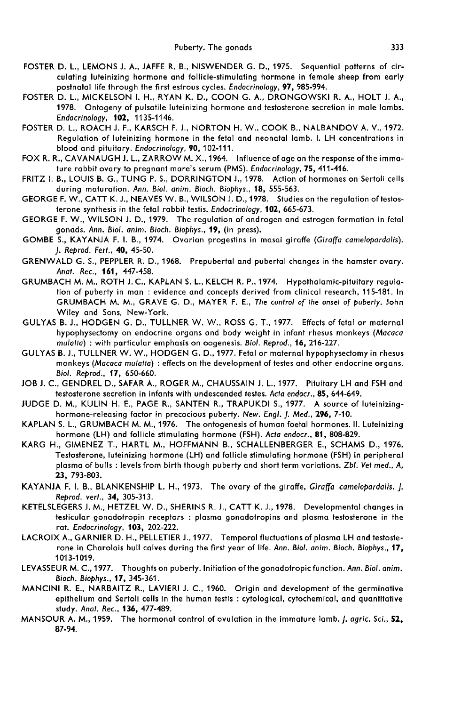- FOSTER D. L., LEMONS J. A., JAFFE R. B., NISWENDER G. D., 1975. Sequential patterns of circulating luteinizing hormone and follicle-stimulating hormone in female sheep from early postnatal life through the first estrous cycles. Endocrinology, 97, 985-994.
- FOSTER D. L., MICKELSON I. H., RYAN K. D., COON G. A., DRONGOWSKI R. A., HOLT J. A., 1978. Ontogeny of pulsatile luteinizing hormone and testosterone secretion in male lambs. Endocrinology, 102, 1135-1146.
- FOSTER D. L., ROACH J. F., KARSCH F. J., NORTON H. W., COOK B., NALBANDOV A. V., 1972. Regulation of luteinizing hormone in the fetal and neonatal lamb. I. LH concentrations in blood and pituitary. Endocrinology, 90, 102-111.
- FOX R. R., CAVANAUGH J. L., ZARROW M. X., 1964. Influence of age on the response of the immature rabbit ovary to pregnant mare's serum (PMS). Endocrinology, 75, 411-416.
- FRITZ I. B., LOUIS B. G., TUNG P. S., DORRINGTON J., 1978. Action of hormones on Sertoli cells during maturation. Ann. Biol. anim. Bioch. Biophys., 18, 555-563.
- GEORGE F. W., CATT K. J., NEAVES W. B., WILSON J. D., 1978. Studies on the regulation of testosterone synthesis in the fetal rabbit testis. Endocrinology, 102, 665-673.
- GEORGE F. W., WILSON J. D., 1979. The regulation of androgen and estrogen formation in fetal gonads. Ann. Biol. anim. Bioch. Biophys., 19, (in press).
- GOMBE S., KAYANJA F. I. B., 1974. Ovarian progestins in masai giraffe (Giraffa camelopardalis). J. Reprod. Fert., 40, 45-50.
- GRENWALD G. S., PEPPLER R. D., 1968. Prepubertal and pubertal changes in the hamster ovary. Anat. Rec., 161, 447-458.
- GRUMBACH M. M., ROTH J. C., KAPLAN S. L., KELCH R. P., 1974. Hypothalamic-pituitary regula tion of puberty in man : evidence and concepts derived from clinical research, 115-181. In GRUMBACH M. M., GRAVE G. D., MAYER F. E., The control of the onset of puberty. John Wiley and Sons, New-York.
- GULYAS B. J., HODGEN G. D., TULLNER W. W., ROSS G. T., 1977. Effects of fetal or maternal hypophysectomy on endocrine organs and body weight in infant rhesus monkeys (Macaca mulatta) : with particular emphasis on oogenesis. Biol. Reprod., 16, 216-227.
- GULYAS B. J., TULLNER W. W., HODGEN G. D., 1977. Fetal or maternal hypophysectomy in rhesus monkeys (Macaca mulatto) : effects on the development of testes and other endocrine organs. Biol. Reprod., 17, 650-660.
- JOB J. C., GENDREL D., SAFAR A., ROGER M., CHAUSSAIN J. L., 1977. Pituitary LH and FSH and testosterone secretion in infants with undescended testes. Acta endocr., 85, 644-649.
- JUDGE D. M., KULIN H. E., PAGE R., SANTEN R., TRAPUKDI S., 1977. A source of luteinizinghormone-releasing factor in precocious puberty. New. Engl. J. Med., 296, 7-10.
- KAPLAN S. L., GRUMBACH M. M., 1976. The ontogenesis of human foetal hormones. II. Luteinizing hormone (LH) and follicle stimulating hormone (FSH). Acta endocr., 81, 808-829.
- KARG H., GIMENEZ T., HARTL M., HOFFMANN B., SCHALLENBERGER E., SCHAMS D., 1976. Testosterone, luteinizing hormone (LH) and follicle stimulating hormone (FSH) in peripheral plasma of bulls : levels from birth though puberty and short term variations. Zbl. Vet med., A, 23, 793-803.
- KAYANJA F. I. B., BLANKENSHIP L. H., 1973. The ovary of the giraffe, Giraffa camelopardalis. J. Reprod. vert., 34, 305-313.
- KETELSLEGERS J. M., HETZEL W. D., SHERINS R. J., CATT K. J., 1978. Developmental changes in testicular gonadotropin receptors : plasma gonadotropins and plasma testosterone in the rat. Endocrinology, 103, 202-222.
- LACROIX A., GARNIER D. H., PELLETIER J., 1977. Temporal fluctuations of plasma LH and testosterone in Charolais bull calves during the first year of life. Ann. Biol. anim. Bioch. Biophys., 17, 1013-1019.
- LEVASSEUR M. C., 1977. Thoughts on puberty. Initiation of the gonadotropic function. Ann. Biol. anim. Bioch. Biophys., 17, 345-361.
- MANCINI R. E., NARBAITZ R., LAVIERI J. C., 1960. Origin and development of the germinative epithelium and Sertoli cells in the human testis : cytological, cytochemical, and quantitative study. Anat. Rec., 136, 477-489.
- MANSOUR A. M., 1959. The hormonal control of ovulation in the immature lamb. *J. agric. Sci.*, 52, 87-94.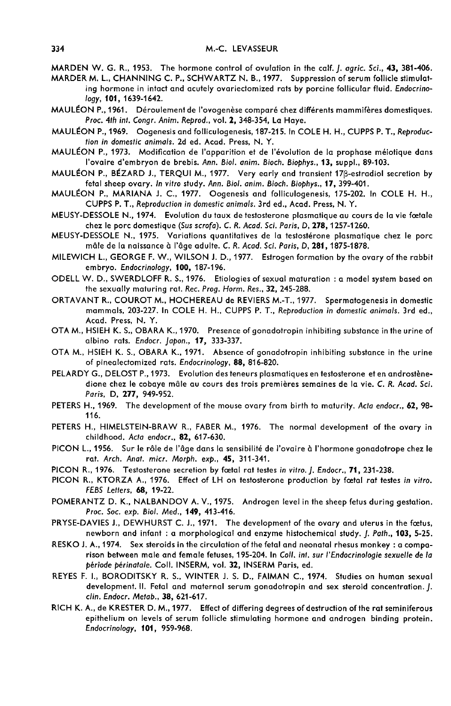MARDEN W. G. R., 1953. The hormone control of ovulation in the calf. *[. agric. Sci.*, 43, 381-406.

MARDER M. L., CHANNING C. P., SCHWARTZ N. B., 1977. Suppression of serum follicle stimulating hormone in intact and acutely ovariectomized rats by porcine follicular fluid. Endocrinology, 101, 1639-1642.

- MAULÉON P., 1961. Déroulement de l'ovogenèse comparé chez différents mammifères domestiques. Proc. 4th int. Congr. Anim. Reprod., vol. 2, 348-354, La Haye.
- MAULEON P., 1969. Oogenesis and folliculogenesis, 187-215. In COLE H. H., CUPPS P. T., Reproduc tion in domestic animals. 2d ed. Acad. Press, N. Y.
- MAULÉON P., 1973. Modification de l'apparition et de l'évolution de la prophase méiotique dans l'ovaire d'embryon de brebis. Ann. Biol. anim. Bioch. Biophys., 13, suppl., 89-103.
- MAULÉON P., BÉZARD J., TERQUI M., 1977. Very early and transient 17ß-estradiol secretion by fetal sheep ovary. In vitro study. Ann. Biol. anim. Bioch. Biophys., 17, 399-401.
- MAULÉON P., MARIANA J. C., 1977. Oogenesis and folliculogenesis, 175-202. In COLE H. H., CUPPS P. T., Reproduction in domestic animals. 3rd ed., Acad. Press, N. Y.
- MEUSY-DESSOLE N., 1974. Evolution du taux de testosterone plasmatique au cours de la vie fcetale chez le porc domestique (Sus scrofa). C. R. Acad. Sci. Paris, D, 278, 1257-1260.
- MEUSY-DESSOLE N., 1975. Variations quantitatives de la testosterone plasmatique chez le porc mâle de la naissance à l'âge adulte. C. R. Acad. Sci. Paris, D, 281, 1875-1878.
- MILEWICH L., GEORGE F. W., WILSON J. D., 1977. Estrogen formation by the ovary of the rabbit embryo. Endocrinology, 100, 187-196.
- ODELL W. D., SWERDLOFF R. S., 1976. Etiologies of sexual maturation : a model system based on the sexually maturing rat. Rec. Prog. Horm. Res., 32, 245-288.
- ORTAVANT R., COUROT M., HOCHEREAU de REVIERS M.-T., 1977. Spermatogenesis in domestic mammals, 203-227. In COLE H. H., CUPPS P. T., Reproduction in domestic animals. 3rd ed., Acad. Press, N. Y.
- OTA M., HSIEH K. S., OBARA K., 1970. Presence of gonadotropin inhibiting substance in the urine of albino rats. Endocr. Japon., 17, 333-337.
- OTA M., HSIEH K. S., OBARA K., 1971. Absence of gonadotropin inhibiting substance in the urine of pinealectomized rats. Endocrinology, 88, 816-820.
- PELARDY G., DELOST P., 1973. Evolution des teneurs plasmatiques en testosterone et en androstènedione chez le cobaye mâle au cours des trois premières semaines de la vie. C. R. Acad. Sci. Paris, D, 277, 949-952.
- PETERS H., 1969. The development of the mouse ovary from birth to maturity. Acta endocr., 62, 98-116.
- PETERS H., HIMELSTEIN-BRAW R., FABER M., 1976. The normal development of the ovary in childhood. Acta endocr., 82, 617-630.
- PICON L., 1956. Sur le rôle de l'âge dans la sensibilité de l'ovaire à l'hormone gonadotrope chez le rat. Arch. Anot. micr. Morph. exp., 45, 311-341.
- PICON R., 1976. Testosterone secretion by fœtal rat testes in vitro. [. Endocr., 71, 231-238.
- PICON R., KTORZA A., 1976. Effect of LH on testosterone production by foetal rat testes in vitro. FEBS Letters, 68, 19-22.
- POMERANTZ D. K., NALBANDOV A. V., 1975. Androgen level in the sheep fetus during gestation. Proc. Soc. exp. Biol. Med., 149, 413-416.
- PRYSE-DAVIES J., DEWHURST C. J., 1971. The development of the ovary and uterus in the foetus, newborn and infant : a morphological and enzyme histochemical study. J. Path., 103, 5-25.
- RESKO J. A., 1974. Sex steroids in the circulation of the fetal and neonatal rhesus monkey : a comparison between male and female fetuses, 195-204. In Coll. int. sur I'Endocrinologie sexuelle de la période périnatale. Coll. INSERM, vol. 32, INSERM Paris, ed.
- REYES F. I., BORODITSKY R. S., WINTER J. S. D., FAIMAN C., 1974. Studies on human sexual development. II. Fetal and maternal serum gonadotropin and sex steroid concentration. J. clin. Endocr. Metab., 38, 621-617.
- RICH K. A., de KRESTER D. M., 1977. Effect of differing degrees of destruction of the rat seminiferous epithelium on levels of serum follicle stimulating hormone and androgen binding protein. Endocrinology, 101, 959-968.